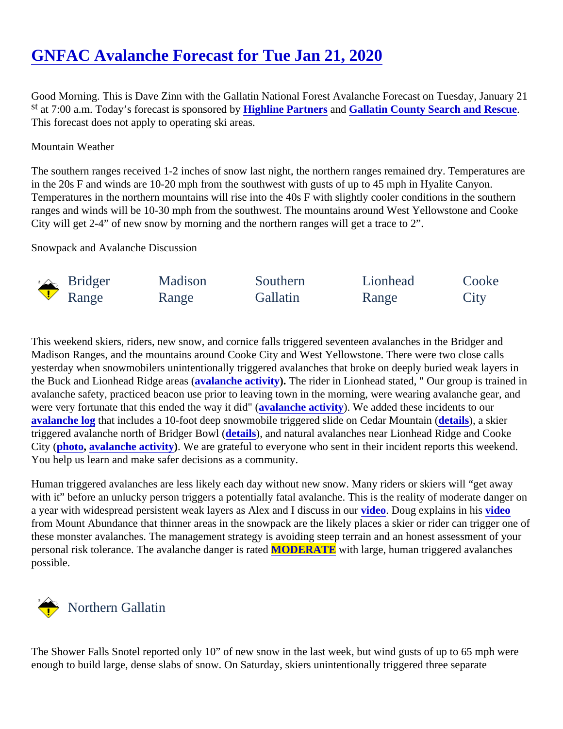# [GNFAC Avalanche Forecast for Tue Jan 21, 202](https://www.mtavalanche.com/forecast/20/01/21)0

Good Morning. This is Dave Zinn with the Gallatin National Forest Avalanche Forecast on Tuesday, January st at 7:00 a.m. Today's forecast is sponsore dlightline Partners and [Gallatin County Search and Rescu](https://www.facebook.com/GallatinCountySAR/)e. This forecast does not apply to operating ski areas.

#### Mountain Weather

The southern ranges received 1-2 inches of snow last night, the northern ranges remained dry. Temperatures in the 20s F and winds are 10-20 mph from the southwest with gusts of up to 45 mph in Hyalite Canyon. Temperatures in the northern mountains will rise into the 40s F with slightly cooler conditions in the southern ranges and winds will be 10-30 mph from the southwest. The mountains around West Yellowstone and Cooke City will get 2-4" of new snow by morning and the northern ranges will get a trace to 2".

Snowpack and Avalanche Discussion

| <b>Bridger</b> | Madison | Southern | Lionhead | Cooke |
|----------------|---------|----------|----------|-------|
| Range          | Range   | Gallatin | Range    | City  |

This weekend skiers, riders, new snow, and cornice falls triggered seventeen avalanches in the Bridger and Madison Ranges, and the mountains around Cooke City and West Yellowstone. There were two close calls yesterday when snowmobilers unintentionally triggered avalanches that broke on deeply buried weak layers i the Buck and Lionhead Ridge areas (lanche activity). The rider in Lionhead stated, " Our group is trained in avalanche safety, practiced beacon use prior to leaving town in the morning, were wearing avalanche gear, a were very fortunate that this ended the way it did anche activity). We added these incidents to our [avalanche log](https://www.mtavalanche.com/avalanche-activity)that includes a 10-foot deep snowmobile triggered slide on Cedar Mountain s), a skier triggered avalanche north of Bridger Bowle(ails), and natural avalanches near Lionhead Ridge and Cooke City [\(photo](https://www.mtavalanche.com/images/20/natural-avalanche-north-lulu-passdebris), [avalanche activity](https://www.mtavalanche.com/node/21700)). We are grateful to everyone who sent in their incident reports this weekend. You help us learn and make safer decisions as a community.

Human triggered avalanches are less likely each day without new snow. Many riders or skiers will "get away with it" before an unlucky person triggers a potentially fatal avalanche. This is the reality of moderate danger o a year with widespread persistent weak layers as Alex and I discussindent Doug explains in hisideo from Mount Abundance that thinner areas in the snowpack are the likely places a skier or rider can trigger on these monster avalanches. The management strategy is avoiding steep terrain and an honest assessment of personal risk tolerance. The avalanche danger is **MODERATE** with large, human triggered avalanches possible.

## Northern Gallatin

The Shower Falls Snotel reported only 10" of new snow in the last week, but wind gusts of up to 65 mph were enough to build large, dense slabs of snow. On Saturday, skiers unintentionally triggered three separate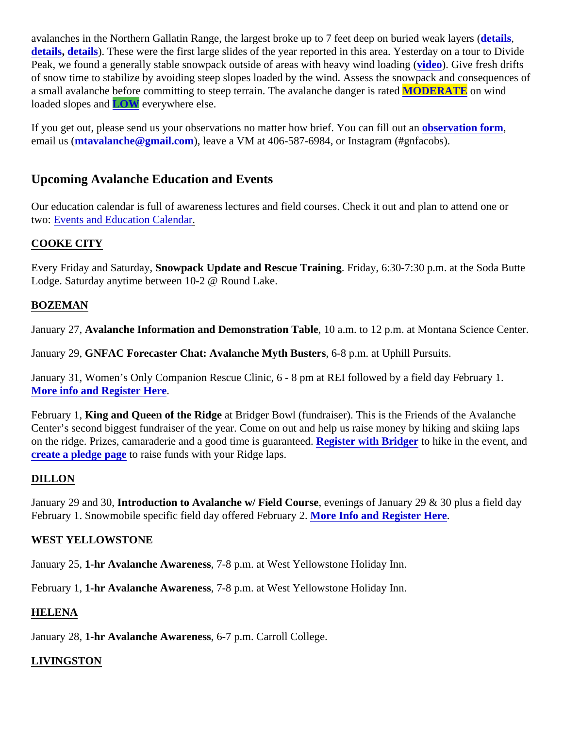avalanches in the Northern Gallatin Range, the largest broke up to 7 feet deep on buried weale laivers ( [details](https://www.mtavalanche.com/node/21655), [details\)](https://www.mtavalanche.com/node/21650). These were the first large slides of the year reported in this area. Yesterday on a tour to Divid Peak, we found a generally stable snowpack outside of areas with heavy wind loadio)g Give fresh drifts of snow time to stabilize by avoiding steep slopes loaded by the wind. Assess the snowpack and consequence a small avalanche before committing to steep terrain. The avalanche danger MODERATE on wind loaded slopes arLOW everywhere else.

If you get out, please send us your observations no matter how brief. You can fillobsteamation form, email us *(ntavalanche@gmail.com)*, leave a VM at 406-587-6984, or Instagram (#gnfacobs).

### Upcoming Avalanche Education and Events

Our education calendar is full of awareness lectures and field courses. Check it out and plan to attend one or two: [Events and Education Calen](http://www.mtavalanche.com/workshops/calendar)dar

#### COOKE CITY

Every Friday and Saturda Sunowpack Update and Rescue Training Friday, 6:30-7:30 p.m. at the Soda Butte Lodge. Saturday anytime between 10-2 @ Round Lake.

#### BOZEMAN

January 27Avalanche Information and Demonstration Table 10 a.m. to 12 p.m. at Montana Science Center.

January 29GNFAC Forecaster Chat: Avalanche Myth Busters 6-8 p.m. at Uphill Pursuits.

January 31, Women's Only Companion Rescue Clinic, 6 - 8 pm at REI followed by a field day February 1. [More info and Register Here](https://www.eventbrite.com/e/mt-shejumps-companion-rescue-clinic-with-friends-of-gnfac-bozeman-tickets-76784655973?aff=efbeventtix&fbclid=IwAR0ToZO6GdaMp80Y8XpSZCOFZp1sGliruBPSfGrMYB33jHqkjhSwDExTstU).

February 1 King and Queen of the Ridge at Bridger Bowl (fundraiser). This is the Friends of the Avalanche Center's second biggest fundraiser of the year. Come on out and help us raise money by hiking and skiing laps on the ridge. Prizes, camaraderie and a good time is guara Register with Bridger to hike in the event, and [create a pledge pag](https://go.rallyup.com/king-and-queen-2020)toraise funds with your Ridge laps.

#### DILLON

January 29 and 30 troduction to Avalanche w/ Field Course evenings of January 29 & 30 plus a field day February 1. Snowmobile specific field day offered Februal Maxel Info and Register Here.

#### WEST YELLOWSTONE

January 251-hr Avalanche Awareness 7-8 p.m. at West Yellowstone Holiday Inn.

February 1,1-hr Avalanche Awareness 7-8 p.m. at West Yellowstone Holiday Inn.

#### HELENA

January 281-hr Avalanche Awareness6-7 p.m. Carroll College.

#### LIVINGSTON